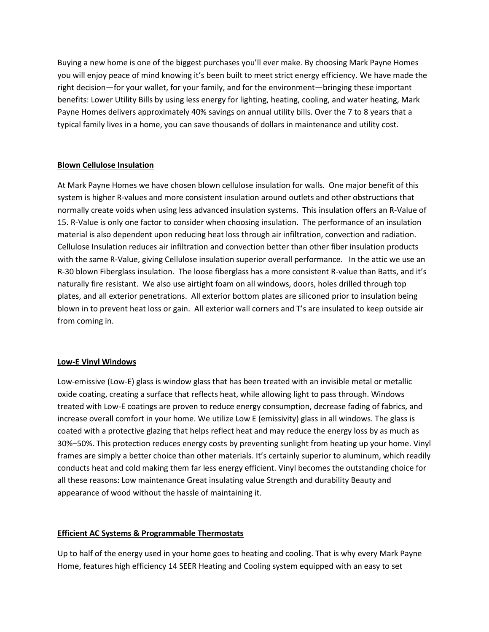Buying a new home is one of the biggest purchases you'll ever make. By choosing Mark Payne Homes you will enjoy peace of mind knowing it's been built to meet strict energy efficiency. We have made the right decision—for your wallet, for your family, and for the environment—bringing these important benefits: Lower Utility Bills by using less energy for lighting, heating, cooling, and water heating, Mark Payne Homes delivers approximately 40% savings on annual utility bills. Over the 7 to 8 years that a typical family lives in a home, you can save thousands of dollars in maintenance and utility cost.

### **Blown Cellulose Insulation**

At Mark Payne Homes we have chosen blown cellulose insulation for walls. One major benefit of this system is higher R-values and more consistent insulation around outlets and other obstructions that normally create voids when using less advanced insulation systems. This insulation offers an R-Value of 15. R-Value is only one factor to consider when choosing insulation. The performance of an insulation material is also dependent upon reducing heat loss through air infiltration, convection and radiation. Cellulose Insulation reduces air infiltration and convection better than other fiber insulation products with the same R-Value, giving Cellulose insulation superior overall performance. In the attic we use an R-30 blown Fiberglass insulation. The loose fiberglass has a more consistent R-value than Batts, and it's naturally fire resistant. We also use airtight foam on all windows, doors, holes drilled through top plates, and all exterior penetrations. All exterior bottom plates are siliconed prior to insulation being blown in to prevent heat loss or gain. All exterior wall corners and T's are insulated to keep outside air from coming in.

### **Low-E Vinyl Windows**

Low-emissive (Low-E) glass is window glass that has been treated with an invisible metal or metallic oxide coating, creating a surface that reflects heat, while allowing light to pass through. Windows treated with Low-E coatings are proven to reduce energy consumption, decrease fading of fabrics, and increase overall comfort in your home. We utilize Low E (emissivity) glass in all windows. The glass is coated with a protective glazing that helps reflect heat and may reduce the energy loss by as much as 30%–50%. This protection reduces energy costs by preventing sunlight from heating up your home. Vinyl frames are simply a better choice than other materials. It's certainly superior to aluminum, which readily conducts heat and cold making them far less energy efficient. Vinyl becomes the outstanding choice for all these reasons: Low maintenance Great insulating value Strength and durability Beauty and appearance of wood without the hassle of maintaining it.

# **Efficient AC Systems & Programmable Thermostats**

Up to half of the energy used in your home goes to heating and cooling. That is why every Mark Payne Home, features high efficiency 14 SEER Heating and Cooling system equipped with an easy to set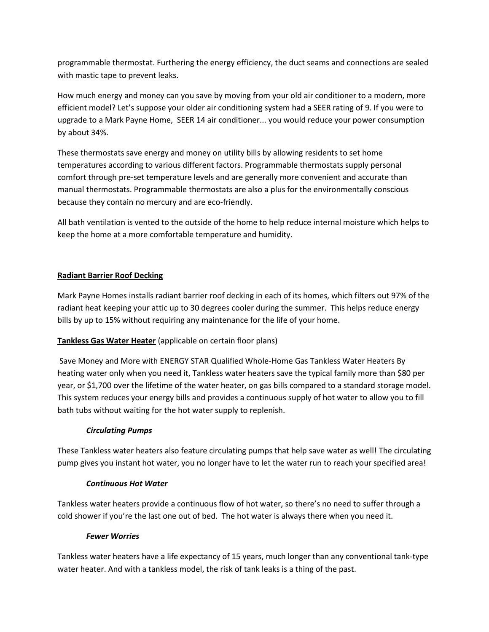programmable thermostat. Furthering the energy efficiency, the duct seams and connections are sealed with mastic tape to prevent leaks.

How much energy and money can you save by moving from your old air conditioner to a modern, more efficient model? Let's suppose your older air conditioning system had a SEER rating of 9. If you were to upgrade to a Mark Payne Home, SEER 14 air conditioner... you would reduce your power consumption by about 34%.

These thermostats save energy and money on utility bills by allowing residents to set home temperatures according to various different factors. Programmable thermostats supply personal comfort through pre-set temperature levels and are generally more convenient and accurate than manual thermostats. Programmable thermostats are also a plus for the environmentally conscious because they contain no mercury and are eco-friendly.

All bath ventilation is vented to the outside of the home to help reduce internal moisture which helps to keep the home at a more comfortable temperature and humidity.

# **Radiant Barrier Roof Decking**

Mark Payne Homes installs radiant barrier roof decking in each of its homes, which filters out 97% of the radiant heat keeping your attic up to 30 degrees cooler during the summer. This helps reduce energy bills by up to 15% without requiring any maintenance for the life of your home.

# **Tankless Gas Water Heater** (applicable on certain floor plans)

Save Money and More with ENERGY STAR Qualified Whole-Home Gas Tankless Water Heaters By heating water only when you need it, Tankless water heaters save the typical family more than \$80 per year, or \$1,700 over the lifetime of the water heater, on gas bills compared to a standard storage model. This system reduces your energy bills and provides a continuous supply of hot water to allow you to fill bath tubs without waiting for the hot water supply to replenish.

# *Circulating Pumps*

These Tankless water heaters also feature circulating pumps that help save water as well! The circulating pump gives you instant hot water, you no longer have to let the water run to reach your specified area!

# *Continuous Hot Water*

Tankless water heaters provide a continuous flow of hot water, so there's no need to suffer through a cold shower if you're the last one out of bed. The hot water is always there when you need it.

# *Fewer Worries*

Tankless water heaters have a life expectancy of 15 years, much longer than any conventional tank-type water heater. And with a tankless model, the risk of tank leaks is a thing of the past.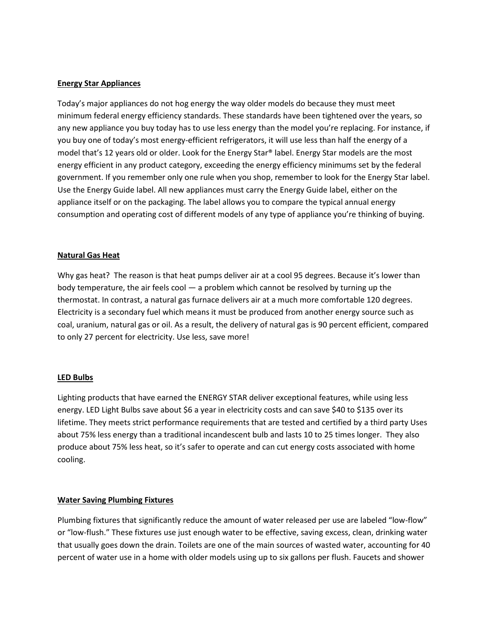#### **Energy Star Appliances**

Today's major appliances do not hog energy the way older models do because they must meet minimum federal energy efficiency standards. These standards have been tightened over the years, so any new appliance you buy today has to use less energy than the model you're replacing. For instance, if you buy one of today's most energy-efficient refrigerators, it will use less than half the energy of a model that's 12 years old or older. Look for the Energy Star® label. Energy Star models are the most energy efficient in any product category, exceeding the energy efficiency minimums set by the federal government. If you remember only one rule when you shop, remember to look for the Energy Star label. Use the Energy Guide label. All new appliances must carry the Energy Guide label, either on the appliance itself or on the packaging. The label allows you to compare the typical annual energy consumption and operating cost of different models of any type of appliance you're thinking of buying.

#### **Natural Gas Heat**

Why gas heat? The reason is that heat pumps deliver air at a cool 95 degrees. Because it's lower than body temperature, the air feels cool — a problem which cannot be resolved by turning up the thermostat. In contrast, a natural gas furnace delivers air at a much more comfortable 120 degrees. Electricity is a secondary fuel which means it must be produced from another energy source such as coal, uranium, natural gas or oil. As a result, the delivery of natural gas is 90 percent efficient, compared to only 27 percent for electricity. Use less, save more!

#### **LED Bulbs**

Lighting products that have earned the ENERGY STAR deliver exceptional features, while using less energy. LED Light Bulbs save about \$6 a year in electricity costs and can save \$40 to \$135 over its lifetime. They meets strict performance requirements that are tested and certified by a third party Uses about 75% less energy than a traditional incandescent bulb and lasts 10 to 25 times longer. They also produce about 75% less heat, so it's safer to operate and can cut energy costs associated with home cooling.

#### **Water Saving Plumbing Fixtures**

Plumbing fixtures that significantly reduce the amount of water released per use are labeled "low-flow" or "low-flush." These fixtures use just enough water to be effective, saving excess, clean, drinking water that usually goes down the drain. Toilets are one of the main sources of wasted water, accounting for 40 percent of water use in a home with older models using up to six gallons per flush. Faucets and shower